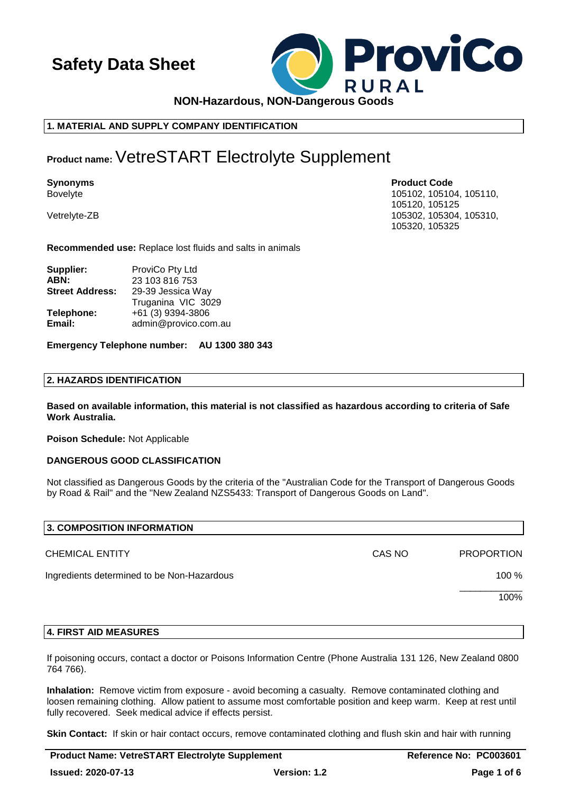

# **1. MATERIAL AND SUPPLY COMPANY IDENTIFICATION**

# **Product name:**VetreSTART Electrolyte Supplement

**Synonyms Product Code**

Bovelyte 105102, 105110, 105110, 105102, 105104, 105110, 105104, 105110, 105110, 105110, 105110, 105110, 105110 105120, 105125 Vetrelyte-ZB 105302, 105304, 105310, 105320, 105325

**Recommended use:** Replace lost fluids and salts in animals

| Supplier:              | ProviCo Pty Ltd      |
|------------------------|----------------------|
| ABN:                   | 23 103 816 753       |
| <b>Street Address:</b> | 29-39 Jessica Way    |
|                        | Truganina VIC 3029   |
| Telephone:             | +61 (3) 9394-3806    |
| Email:                 | admin@provico.com.au |

**Emergency Telephone number: AU 1300 380 343**

# **2. HAZARDS IDENTIFICATION**

**Based on available information, this material is not classified as hazardous according to criteria of Safe Work Australia.**

**Poison Schedule:** Not Applicable

## **DANGEROUS GOOD CLASSIFICATION**

Not classified as Dangerous Goods by the criteria of the "Australian Code for the Transport of Dangerous Goods by Road & Rail" and the "New Zealand NZS5433: Transport of Dangerous Goods on Land".

| 3. COMPOSITION INFORMATION                 |        |                   |
|--------------------------------------------|--------|-------------------|
| <b>CHEMICAL ENTITY</b>                     | CAS NO | <b>PROPORTION</b> |
| Ingredients determined to be Non-Hazardous |        | 100 %             |
|                                            |        | 100%              |
|                                            |        |                   |

## **4. FIRST AID MEASURES**

If poisoning occurs, contact a doctor or Poisons Information Centre (Phone Australia 131 126, New Zealand 0800 764 766).

**Inhalation:** Remove victim from exposure - avoid becoming a casualty. Remove contaminated clothing and loosen remaining clothing. Allow patient to assume most comfortable position and keep warm. Keep at rest until fully recovered. Seek medical advice if effects persist.

**Skin Contact:** If skin or hair contact occurs, remove contaminated clothing and flush skin and hair with running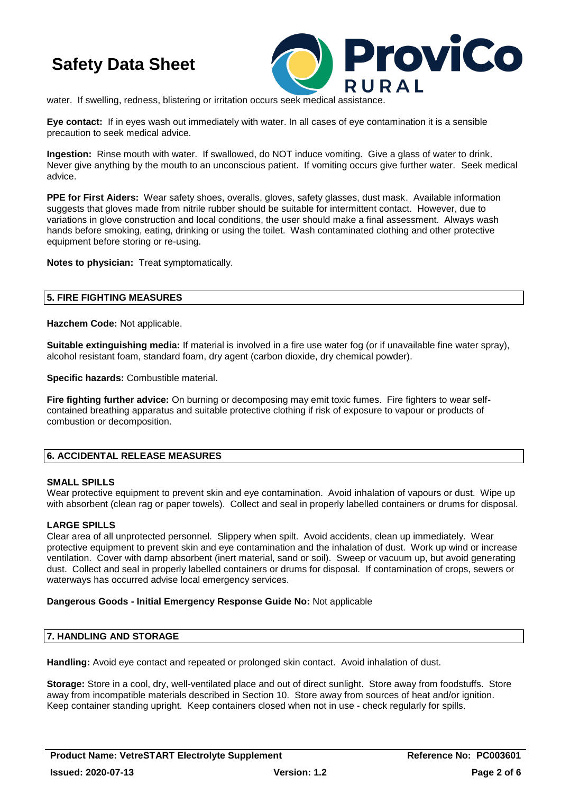

water. If swelling, redness, blistering or irritation occurs seek medical assistance.

**Eye contact:** If in eyes wash out immediately with water. In all cases of eye contamination it is a sensible precaution to seek medical advice.

**Ingestion:** Rinse mouth with water. If swallowed, do NOT induce vomiting. Give a glass of water to drink. Never give anything by the mouth to an unconscious patient. If vomiting occurs give further water. Seek medical advice.

**PPE for First Aiders:** Wear safety shoes, overalls, gloves, safety glasses, dust mask. Available information suggests that gloves made from nitrile rubber should be suitable for intermittent contact. However, due to variations in glove construction and local conditions, the user should make a final assessment. Always wash hands before smoking, eating, drinking or using the toilet. Wash contaminated clothing and other protective equipment before storing or re-using.

**Notes to physician:** Treat symptomatically.

## **5. FIRE FIGHTING MEASURES**

**Hazchem Code:** Not applicable.

**Suitable extinguishing media:** If material is involved in a fire use water fog (or if unavailable fine water spray), alcohol resistant foam, standard foam, dry agent (carbon dioxide, dry chemical powder).

**Specific hazards:** Combustible material.

**Fire fighting further advice:** On burning or decomposing may emit toxic fumes. Fire fighters to wear selfcontained breathing apparatus and suitable protective clothing if risk of exposure to vapour or products of combustion or decomposition.

## **6. ACCIDENTAL RELEASE MEASURES**

#### **SMALL SPILLS**

Wear protective equipment to prevent skin and eye contamination. Avoid inhalation of vapours or dust. Wipe up with absorbent (clean rag or paper towels). Collect and seal in properly labelled containers or drums for disposal.

## **LARGE SPILLS**

Clear area of all unprotected personnel. Slippery when spilt. Avoid accidents, clean up immediately. Wear protective equipment to prevent skin and eye contamination and the inhalation of dust. Work up wind or increase ventilation. Cover with damp absorbent (inert material, sand or soil). Sweep or vacuum up, but avoid generating dust. Collect and seal in properly labelled containers or drums for disposal. If contamination of crops, sewers or waterways has occurred advise local emergency services.

#### **Dangerous Goods - Initial Emergency Response Guide No:** Not applicable

#### **7. HANDLING AND STORAGE**

**Handling:** Avoid eye contact and repeated or prolonged skin contact. Avoid inhalation of dust.

**Storage:** Store in a cool, dry, well-ventilated place and out of direct sunlight. Store away from foodstuffs. Store away from incompatible materials described in Section 10. Store away from sources of heat and/or ignition. Keep container standing upright. Keep containers closed when not in use - check regularly for spills.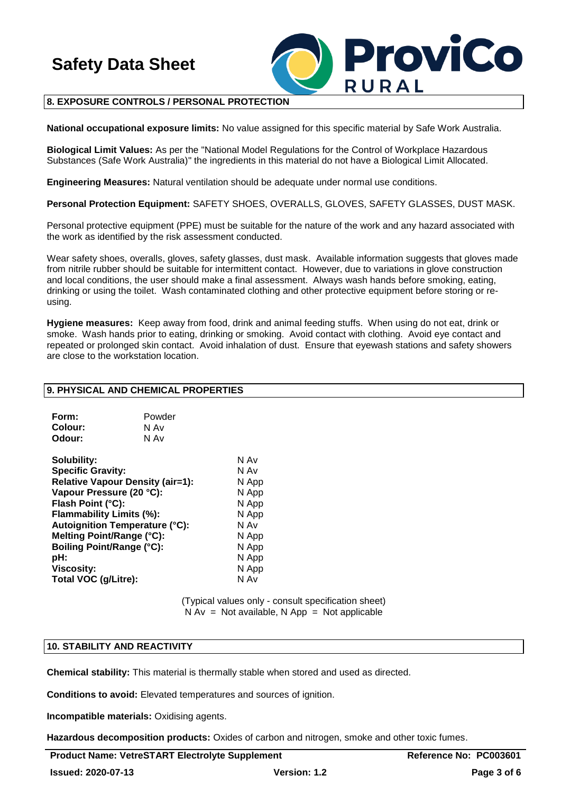

# **8. EXPOSURE CONTROLS / PERSONAL PROTECTION**

**National occupational exposure limits:** No value assigned for this specific material by Safe Work Australia.

**Biological Limit Values:** As per the "National Model Regulations for the Control of Workplace Hazardous Substances (Safe Work Australia)" the ingredients in this material do not have a Biological Limit Allocated.

**Engineering Measures:** Natural ventilation should be adequate under normal use conditions.

**Personal Protection Equipment:** SAFETY SHOES, OVERALLS, GLOVES, SAFETY GLASSES, DUST MASK.

Personal protective equipment (PPE) must be suitable for the nature of the work and any hazard associated with the work as identified by the risk assessment conducted.

Wear safety shoes, overalls, gloves, safety glasses, dust mask. Available information suggests that gloves made from nitrile rubber should be suitable for intermittent contact. However, due to variations in glove construction and local conditions, the user should make a final assessment. Always wash hands before smoking, eating, drinking or using the toilet. Wash contaminated clothing and other protective equipment before storing or reusing.

**Hygiene measures:** Keep away from food, drink and animal feeding stuffs. When using do not eat, drink or smoke. Wash hands prior to eating, drinking or smoking. Avoid contact with clothing. Avoid eye contact and repeated or prolonged skin contact. Avoid inhalation of dust. Ensure that eyewash stations and safety showers are close to the workstation location.

#### **9. PHYSICAL AND CHEMICAL PROPERTIES**

| Form:   | Powder |
|---------|--------|
| Colour: | N Av   |
| Odour:  | N Av   |

| Solubility:                             | N Av  |
|-----------------------------------------|-------|
| <b>Specific Gravity:</b>                | N Av  |
| <b>Relative Vapour Density (air=1):</b> | N App |
| Vapour Pressure (20 °C):                | N App |
| Flash Point (°C):                       | N App |
| Flammability Limits (%):                | N App |
| <b>Autoignition Temperature (°C):</b>   | N Av  |
| Melting Point/Range (°C):               | N App |
| Boiling Point/Range (°C):               | N App |
| pH:                                     | N App |
| <b>Viscosity:</b>                       | N App |
| Total VOC (g/Litre):                    | N Av  |
|                                         |       |

(Typical values only - consult specification sheet)  $N Av = Not available, N App = Not applicable$ 

# **10. STABILITY AND REACTIVITY**

**Chemical stability:** This material is thermally stable when stored and used as directed.

**Conditions to avoid:** Elevated temperatures and sources of ignition.

**Incompatible materials:** Oxidising agents.

**Hazardous decomposition products:** Oxides of carbon and nitrogen, smoke and other toxic fumes.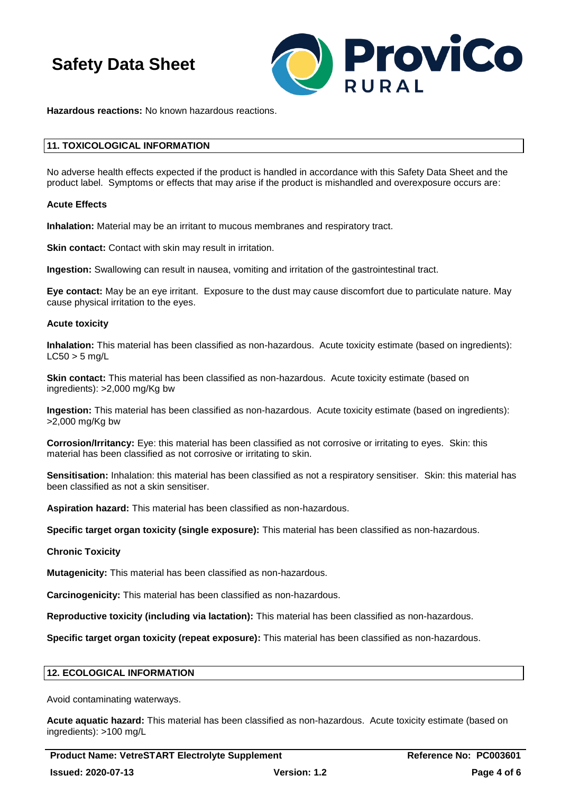

**Hazardous reactions:** No known hazardous reactions.

#### **11. TOXICOLOGICAL INFORMATION**

No adverse health effects expected if the product is handled in accordance with this Safety Data Sheet and the product label. Symptoms or effects that may arise if the product is mishandled and overexposure occurs are:

#### **Acute Effects**

**Inhalation:** Material may be an irritant to mucous membranes and respiratory tract.

**Skin contact:** Contact with skin may result in irritation.

**Ingestion:** Swallowing can result in nausea, vomiting and irritation of the gastrointestinal tract.

**Eye contact:** May be an eye irritant. Exposure to the dust may cause discomfort due to particulate nature. May cause physical irritation to the eyes.

#### **Acute toxicity**

**Inhalation:** This material has been classified as non-hazardous. Acute toxicity estimate (based on ingredients):  $LC50 > 5$  mg/L

**Skin contact:** This material has been classified as non-hazardous. Acute toxicity estimate (based on ingredients): >2,000 mg/Kg bw

**Ingestion:** This material has been classified as non-hazardous. Acute toxicity estimate (based on ingredients): >2,000 mg/Kg bw

**Corrosion/Irritancy:** Eye: this material has been classified as not corrosive or irritating to eyes. Skin: this material has been classified as not corrosive or irritating to skin.

**Sensitisation:** Inhalation: this material has been classified as not a respiratory sensitiser. Skin: this material has been classified as not a skin sensitiser.

**Aspiration hazard:** This material has been classified as non-hazardous.

**Specific target organ toxicity (single exposure):** This material has been classified as non-hazardous.

#### **Chronic Toxicity**

**Mutagenicity:** This material has been classified as non-hazardous.

**Carcinogenicity:** This material has been classified as non-hazardous.

**Reproductive toxicity (including via lactation):** This material has been classified as non-hazardous.

**Specific target organ toxicity (repeat exposure):** This material has been classified as non-hazardous.

#### **12. ECOLOGICAL INFORMATION**

Avoid contaminating waterways.

**Acute aquatic hazard:** This material has been classified as non-hazardous. Acute toxicity estimate (based on ingredients): >100 mg/L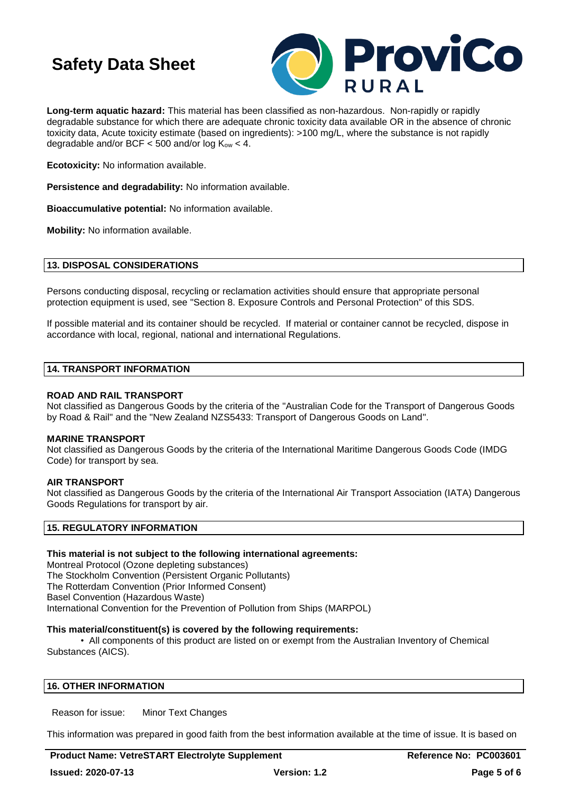

**Long-term aquatic hazard:** This material has been classified as non-hazardous. Non-rapidly or rapidly degradable substance for which there are adequate chronic toxicity data available OR in the absence of chronic toxicity data, Acute toxicity estimate (based on ingredients): >100 mg/L, where the substance is not rapidly degradable and/or BCF  $<$  500 and/or log  $K_{ow}$   $<$  4.

**Ecotoxicity:** No information available.

**Persistence and degradability:** No information available.

**Bioaccumulative potential:** No information available.

**Mobility:** No information available.

#### **13. DISPOSAL CONSIDERATIONS**

Persons conducting disposal, recycling or reclamation activities should ensure that appropriate personal protection equipment is used, see "Section 8. Exposure Controls and Personal Protection" of this SDS.

If possible material and its container should be recycled. If material or container cannot be recycled, dispose in accordance with local, regional, national and international Regulations.

# **14. TRANSPORT INFORMATION**

#### **ROAD AND RAIL TRANSPORT**

Not classified as Dangerous Goods by the criteria of the "Australian Code for the Transport of Dangerous Goods by Road & Rail" and the "New Zealand NZS5433: Transport of Dangerous Goods on Land".

#### **MARINE TRANSPORT**

Not classified as Dangerous Goods by the criteria of the International Maritime Dangerous Goods Code (IMDG Code) for transport by sea.

## **AIR TRANSPORT**

Not classified as Dangerous Goods by the criteria of the International Air Transport Association (IATA) Dangerous Goods Regulations for transport by air.

#### **15. REGULATORY INFORMATION**

## **This material is not subject to the following international agreements:**

Montreal Protocol (Ozone depleting substances) The Stockholm Convention (Persistent Organic Pollutants) The Rotterdam Convention (Prior Informed Consent) Basel Convention (Hazardous Waste) International Convention for the Prevention of Pollution from Ships (MARPOL)

#### **This material/constituent(s) is covered by the following requirements:**

• All components of this product are listed on or exempt from the Australian Inventory of Chemical Substances (AICS).

## **16. OTHER INFORMATION**

Reason for issue: Minor Text Changes

This information was prepared in good faith from the best information available at the time of issue. It is based on